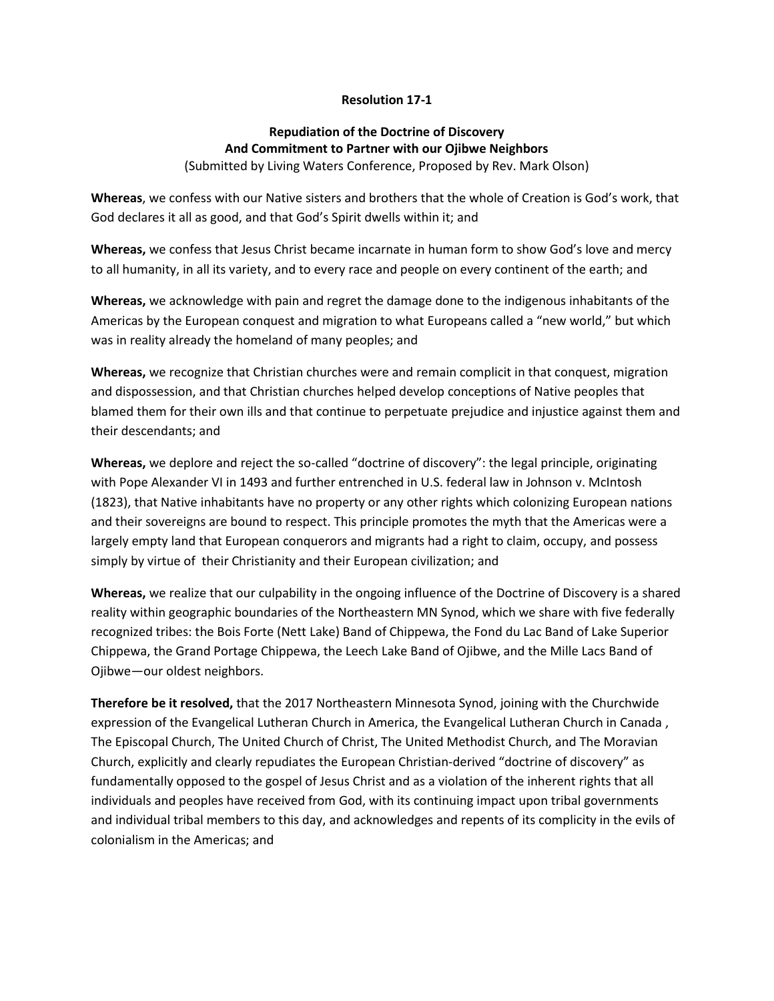## **Resolution 17-1**

## **Repudiation of the Doctrine of Discovery And Commitment to Partner with our Ojibwe Neighbors** (Submitted by Living Waters Conference, Proposed by Rev. Mark Olson)

**Whereas**, we confess with our Native sisters and brothers that the whole of Creation is God's work, that God declares it all as good, and that God's Spirit dwells within it; and

**Whereas,** we confess that Jesus Christ became incarnate in human form to show God's love and mercy to all humanity, in all its variety, and to every race and people on every continent of the earth; and

**Whereas,** we acknowledge with pain and regret the damage done to the indigenous inhabitants of the Americas by the European conquest and migration to what Europeans called a "new world," but which was in reality already the homeland of many peoples; and

**Whereas,** we recognize that Christian churches were and remain complicit in that conquest, migration and dispossession, and that Christian churches helped develop conceptions of Native peoples that blamed them for their own ills and that continue to perpetuate prejudice and injustice against them and their descendants; and

**Whereas,** we deplore and reject the so-called "doctrine of discovery": the legal principle, originating with Pope Alexander VI in 1493 and further entrenched in U.S. federal law in Johnson v. McIntosh (1823), that Native inhabitants have no property or any other rights which colonizing European nations and their sovereigns are bound to respect. This principle promotes the myth that the Americas were a largely empty land that European conquerors and migrants had a right to claim, occupy, and possess simply by virtue of their Christianity and their European civilization; and

**Whereas,** we realize that our culpability in the ongoing influence of the Doctrine of Discovery is a shared reality within geographic boundaries of the Northeastern MN Synod, which we share with five federally recognized tribes: the Bois Forte (Nett Lake) Band of Chippewa, the Fond du Lac Band of Lake Superior Chippewa, the Grand Portage Chippewa, the Leech Lake Band of Ojibwe, and the Mille Lacs Band of Ojibwe—our oldest neighbors.

**Therefore be it resolved,** that the 2017 Northeastern Minnesota Synod, joining with the Churchwide expression of the Evangelical Lutheran Church in America, the Evangelical Lutheran Church in Canada , The Episcopal Church, The United Church of Christ, The United Methodist Church, and The Moravian Church, explicitly and clearly repudiates the European Christian-derived "doctrine of discovery" as fundamentally opposed to the gospel of Jesus Christ and as a violation of the inherent rights that all individuals and peoples have received from God, with its continuing impact upon tribal governments and individual tribal members to this day, and acknowledges and repents of its complicity in the evils of colonialism in the Americas; and